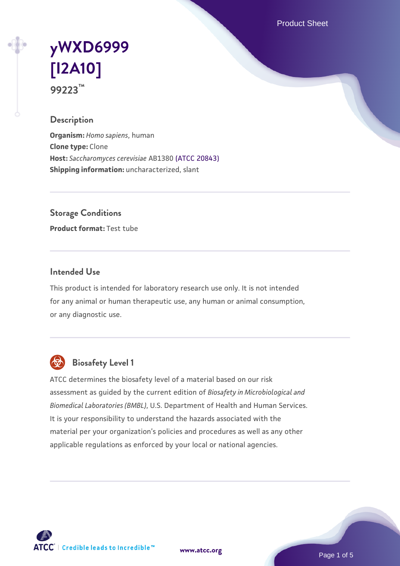Product Sheet

# **[yWXD6999](https://www.atcc.org/products/99223) [\[I2A10\]](https://www.atcc.org/products/99223) 99223™**

## **Description**

**Organism:** *Homo sapiens*, human **Clone type:** Clone **Host:** *Saccharomyces cerevisiae* AB1380 [\(ATCC 20843\)](https://www.atcc.org/products/20843) **Shipping information:** uncharacterized, slant

**Storage Conditions**

**Product format:** Test tube

## **Intended Use**

This product is intended for laboratory research use only. It is not intended for any animal or human therapeutic use, any human or animal consumption, or any diagnostic use.



## **Biosafety Level 1**

ATCC determines the biosafety level of a material based on our risk assessment as guided by the current edition of *Biosafety in Microbiological and Biomedical Laboratories (BMBL)*, U.S. Department of Health and Human Services. It is your responsibility to understand the hazards associated with the material per your organization's policies and procedures as well as any other applicable regulations as enforced by your local or national agencies.

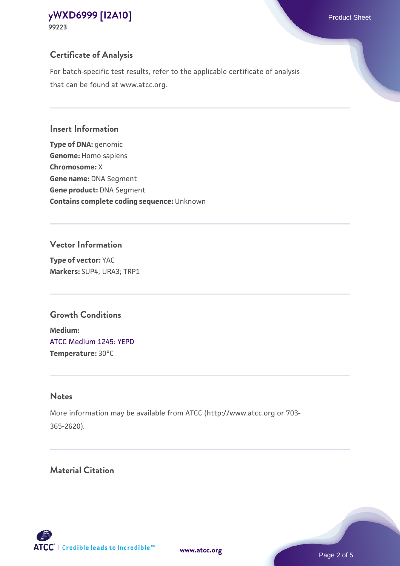## **Certificate of Analysis**

For batch-specific test results, refer to the applicable certificate of analysis that can be found at www.atcc.org.

#### **Insert Information**

**Type of DNA:** genomic **Genome:** Homo sapiens **Chromosome:** X **Gene name:** DNA Segment **Gene product:** DNA Segment **Contains complete coding sequence:** Unknown

#### **Vector Information**

**Type of vector:** YAC **Markers:** SUP4; URA3; TRP1

## **Growth Conditions**

**Medium:**  [ATCC Medium 1245: YEPD](https://www.atcc.org/-/media/product-assets/documents/microbial-media-formulations/1/2/4/5/atcc-medium-1245.pdf?rev=705ca55d1b6f490a808a965d5c072196) **Temperature:** 30°C

## **Notes**

More information may be available from ATCC (http://www.atcc.org or 703- 365-2620).

## **Material Citation**

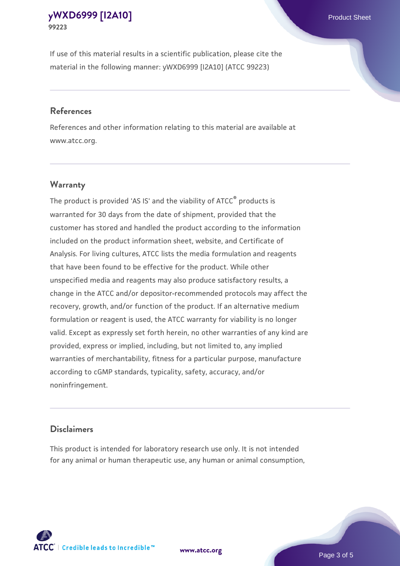If use of this material results in a scientific publication, please cite the material in the following manner: yWXD6999 [I2A10] (ATCC 99223)

#### **References**

References and other information relating to this material are available at www.atcc.org.

## **Warranty**

The product is provided 'AS IS' and the viability of  $ATCC<sup>®</sup>$  products is warranted for 30 days from the date of shipment, provided that the customer has stored and handled the product according to the information included on the product information sheet, website, and Certificate of Analysis. For living cultures, ATCC lists the media formulation and reagents that have been found to be effective for the product. While other unspecified media and reagents may also produce satisfactory results, a change in the ATCC and/or depositor-recommended protocols may affect the recovery, growth, and/or function of the product. If an alternative medium formulation or reagent is used, the ATCC warranty for viability is no longer valid. Except as expressly set forth herein, no other warranties of any kind are provided, express or implied, including, but not limited to, any implied warranties of merchantability, fitness for a particular purpose, manufacture according to cGMP standards, typicality, safety, accuracy, and/or noninfringement.

#### **Disclaimers**

This product is intended for laboratory research use only. It is not intended for any animal or human therapeutic use, any human or animal consumption,

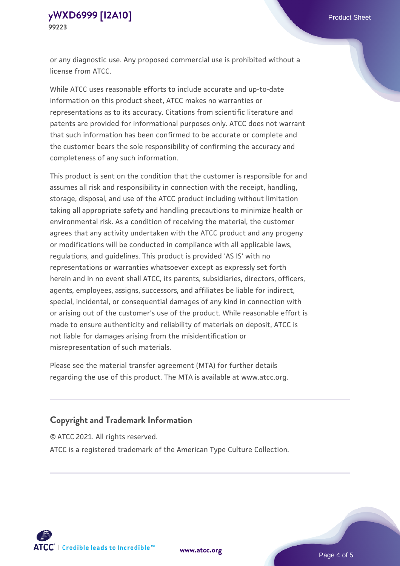or any diagnostic use. Any proposed commercial use is prohibited without a license from ATCC.

While ATCC uses reasonable efforts to include accurate and up-to-date information on this product sheet, ATCC makes no warranties or representations as to its accuracy. Citations from scientific literature and patents are provided for informational purposes only. ATCC does not warrant that such information has been confirmed to be accurate or complete and the customer bears the sole responsibility of confirming the accuracy and completeness of any such information.

This product is sent on the condition that the customer is responsible for and assumes all risk and responsibility in connection with the receipt, handling, storage, disposal, and use of the ATCC product including without limitation taking all appropriate safety and handling precautions to minimize health or environmental risk. As a condition of receiving the material, the customer agrees that any activity undertaken with the ATCC product and any progeny or modifications will be conducted in compliance with all applicable laws, regulations, and guidelines. This product is provided 'AS IS' with no representations or warranties whatsoever except as expressly set forth herein and in no event shall ATCC, its parents, subsidiaries, directors, officers, agents, employees, assigns, successors, and affiliates be liable for indirect, special, incidental, or consequential damages of any kind in connection with or arising out of the customer's use of the product. While reasonable effort is made to ensure authenticity and reliability of materials on deposit, ATCC is not liable for damages arising from the misidentification or misrepresentation of such materials.

Please see the material transfer agreement (MTA) for further details regarding the use of this product. The MTA is available at www.atcc.org.

## **Copyright and Trademark Information**

© ATCC 2021. All rights reserved.

ATCC is a registered trademark of the American Type Culture Collection.



**[www.atcc.org](http://www.atcc.org)**